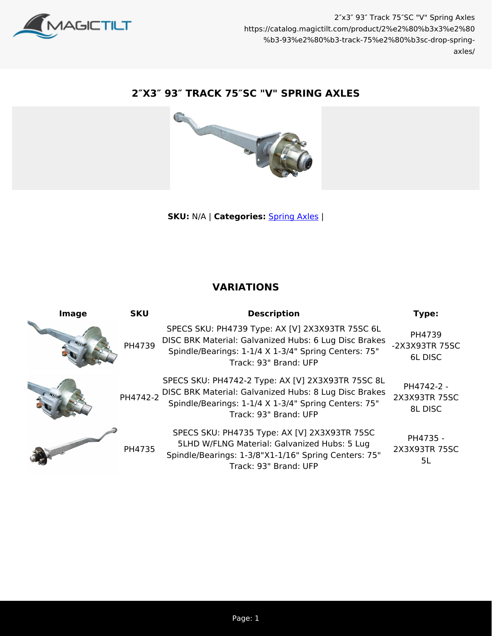

## **2″X3″ 93″ TRACK 75″SC "V" SPRING AXLES**



**SKU:** N/A | **Categories:** [Spring Axles](https://catalog.magictilt.com/product-category/axles-brakes-bearings/spring-axles/) |

## **VARIATIONS**

| Image | <b>SKU</b> | <b>Description</b>                                                                                                                                                                                   | Type:                                  |
|-------|------------|------------------------------------------------------------------------------------------------------------------------------------------------------------------------------------------------------|----------------------------------------|
|       | PH4739     | SPECS SKU: PH4739 Type: AX [V] 2X3X93TR 75SC 6L<br>DISC BRK Material: Galvanized Hubs: 6 Lug Disc Brakes<br>Spindle/Bearings: 1-1/4 X 1-3/4" Spring Centers: 75"<br>Track: 93" Brand: UFP            | PH4739<br>-2X3X93TR 75SC<br>6L DISC    |
|       |            | SPECS SKU: PH4742-2 Type: AX [V] 2X3X93TR 75SC 8L<br>PH4742-2 DISC BRK Material: Galvanized Hubs: 8 Lug Disc Brakes<br>Spindle/Bearings: 1-1/4 X 1-3/4" Spring Centers: 75"<br>Track: 93" Brand: UFP | PH4742-2 -<br>2X3X93TR 75SC<br>8L DISC |
|       | PH4735     | SPECS SKU: PH4735 Type: AX [V] 2X3X93TR 75SC<br>5LHD W/FLNG Material: Galvanized Hubs: 5 Lug<br>Spindle/Bearings: 1-3/8"X1-1/16" Spring Centers: 75"<br>Track: 93" Brand: UFP                        | PH4735 -<br>2X3X93TR 75SC<br>5L        |